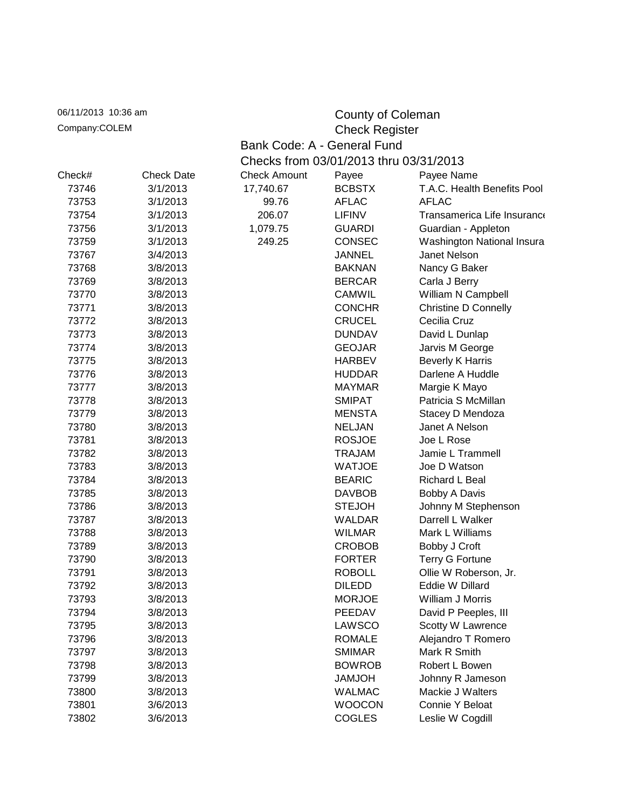| 06/11/2013 10:36 am                    |                   |                                        |                             | County of Coleman           |  |  |
|----------------------------------------|-------------------|----------------------------------------|-----------------------------|-----------------------------|--|--|
| Company:COLEM<br><b>Check Register</b> |                   |                                        |                             |                             |  |  |
|                                        |                   |                                        | Bank Code: A - General Fund |                             |  |  |
|                                        |                   | Checks from 03/01/2013 thru 03/31/2013 |                             |                             |  |  |
| Check#                                 | <b>Check Date</b> | <b>Check Amount</b>                    | Payee                       | Payee Name                  |  |  |
| 73746                                  | 3/1/2013          | 17,740.67                              | <b>BCBSTX</b>               | T.A.C. Health Benefits Pool |  |  |
| 73753                                  | 3/1/2013          | 99.76                                  | <b>AFLAC</b>                | <b>AFLAC</b>                |  |  |
| 73754                                  | 3/1/2013          | 206.07                                 | <b>LIFINV</b>               | Transamerica Life Insurance |  |  |
| 73756                                  | 3/1/2013          | 1,079.75                               | <b>GUARDI</b>               | Guardian - Appleton         |  |  |
| 73759                                  | 3/1/2013          | 249.25                                 | <b>CONSEC</b>               | Washington National Insura  |  |  |
| 73767                                  | 3/4/2013          |                                        | <b>JANNEL</b>               | Janet Nelson                |  |  |
| 73768                                  | 3/8/2013          |                                        | <b>BAKNAN</b>               | Nancy G Baker               |  |  |
| 73769                                  | 3/8/2013          |                                        | <b>BERCAR</b>               | Carla J Berry               |  |  |
| 73770                                  | 3/8/2013          |                                        | <b>CAMWIL</b>               | William N Campbell          |  |  |
| 73771                                  | 3/8/2013          |                                        | <b>CONCHR</b>               | <b>Christine D Connelly</b> |  |  |
| 73772                                  | 3/8/2013          |                                        | <b>CRUCEL</b>               | Cecilia Cruz                |  |  |
| 73773                                  | 3/8/2013          |                                        | <b>DUNDAV</b>               | David L Dunlap              |  |  |
| 73774                                  | 3/8/2013          |                                        | <b>GEOJAR</b>               | Jarvis M George             |  |  |
| 73775                                  | 3/8/2013          |                                        | <b>HARBEV</b>               | <b>Beverly K Harris</b>     |  |  |
| 73776                                  | 3/8/2013          |                                        | <b>HUDDAR</b>               | Darlene A Huddle            |  |  |
| 73777                                  | 3/8/2013          |                                        | <b>MAYMAR</b>               | Margie K Mayo               |  |  |
| 73778                                  | 3/8/2013          |                                        | <b>SMIPAT</b>               | Patricia S McMillan         |  |  |
| 73779                                  | 3/8/2013          |                                        | <b>MENSTA</b>               | Stacey D Mendoza            |  |  |
| 73780                                  | 3/8/2013          |                                        | <b>NELJAN</b>               | Janet A Nelson              |  |  |
| 73781                                  | 3/8/2013          |                                        | <b>ROSJOE</b>               | Joe L Rose                  |  |  |
| 73782                                  | 3/8/2013          |                                        | <b>TRAJAM</b>               | Jamie L Trammell            |  |  |
| 73783                                  | 3/8/2013          |                                        | <b>WATJOE</b>               | Joe D Watson                |  |  |
| 73784                                  | 3/8/2013          |                                        | <b>BEARIC</b>               | Richard L Beal              |  |  |
| 73785                                  | 3/8/2013          |                                        | <b>DAVBOB</b>               | Bobby A Davis               |  |  |
| 73786                                  | 3/8/2013          |                                        | <b>STEJOH</b>               | Johnny M Stephenson         |  |  |
| 73787                                  | 3/8/2013          |                                        | WALDAR                      | Darrell L Walker            |  |  |
| 73788                                  | 3/8/2013          |                                        | <b>WILMAR</b>               | Mark L Williams             |  |  |
| 73789                                  | 3/8/2013          |                                        | <b>CROBOB</b>               | Bobby J Croft               |  |  |
| 73790                                  | 3/8/2013          |                                        | <b>FORTER</b>               | <b>Terry G Fortune</b>      |  |  |
| 73791                                  | 3/8/2013          |                                        | <b>ROBOLL</b>               | Ollie W Roberson, Jr.       |  |  |
| 73792                                  | 3/8/2013          |                                        | <b>DILEDD</b>               | Eddie W Dillard             |  |  |
| 73793                                  | 3/8/2013          |                                        | <b>MORJOE</b>               | William J Morris            |  |  |
| 73794                                  | 3/8/2013          |                                        | PEEDAV                      | David P Peeples, III        |  |  |
| 73795                                  | 3/8/2013          |                                        | <b>LAWSCO</b>               | Scotty W Lawrence           |  |  |
| 73796                                  | 3/8/2013          |                                        | <b>ROMALE</b>               | Alejandro T Romero          |  |  |
| 73797                                  | 3/8/2013          |                                        | <b>SMIMAR</b>               | Mark R Smith                |  |  |
| 73798                                  | 3/8/2013          |                                        | <b>BOWROB</b>               | Robert L Bowen              |  |  |
| 73799                                  | 3/8/2013          |                                        | <b>HOLMAL</b>               | Johnny R Jameson            |  |  |
| 73800                                  | 3/8/2013          |                                        | <b>WALMAC</b>               | Mackie J Walters            |  |  |
| 73801                                  | 3/6/2013          |                                        | <b>WOOCON</b>               | Connie Y Beloat             |  |  |
| 73802                                  | 3/6/2013          |                                        | <b>COGLES</b>               | Leslie W Cogdill            |  |  |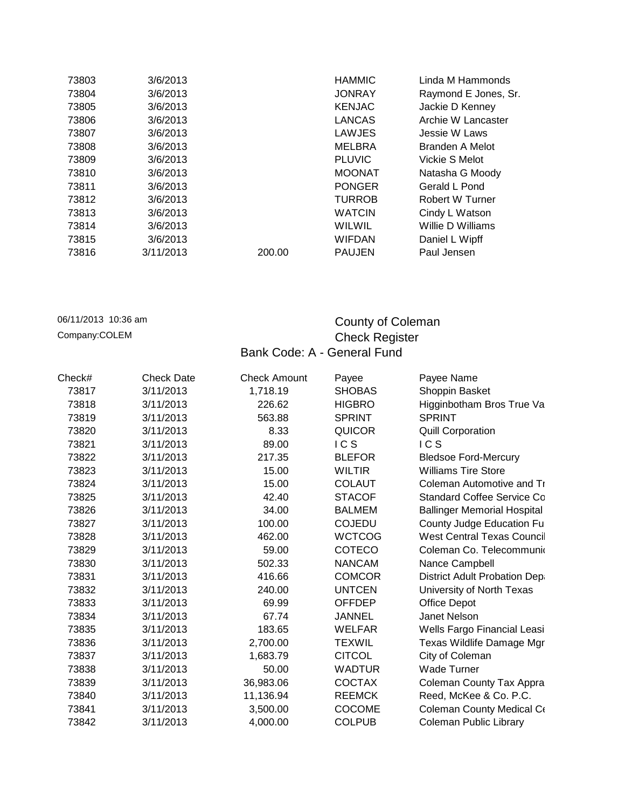| 73803 | 3/6/2013  |        | <b>HAMMIC</b> | Linda M Hammonds       |
|-------|-----------|--------|---------------|------------------------|
| 73804 | 3/6/2013  |        | <b>JONRAY</b> | Raymond E Jones, Sr.   |
| 73805 | 3/6/2013  |        | <b>KENJAC</b> | Jackie D Kenney        |
| 73806 | 3/6/2013  |        | <b>LANCAS</b> | Archie W Lancaster     |
| 73807 | 3/6/2013  |        | LAWJES        | Jessie W Laws          |
| 73808 | 3/6/2013  |        | MELBRA        | Branden A Melot        |
| 73809 | 3/6/2013  |        | <b>PLUVIC</b> | Vickie S Melot         |
| 73810 | 3/6/2013  |        | <b>MOONAT</b> | Natasha G Moody        |
| 73811 | 3/6/2013  |        | <b>PONGER</b> | Gerald L Pond          |
| 73812 | 3/6/2013  |        | <b>TURROB</b> | <b>Robert W Turner</b> |
| 73813 | 3/6/2013  |        | <b>WATCIN</b> | Cindy L Watson         |
| 73814 | 3/6/2013  |        | WILWIL        | Willie D Williams      |
| 73815 | 3/6/2013  |        | <b>WIFDAN</b> | Daniel L Wipff         |
| 73816 | 3/11/2013 | 200.00 | <b>PAUJEN</b> | Paul Jensen            |

## 06/11/2013 10:36 am **County of Coleman** Company:COLEM Company:COLEM Check Register Bank Code: A - General Fund

| Check# | <b>Check Date</b> | <b>Check Amount</b> | Payee         | Payee Name                         |
|--------|-------------------|---------------------|---------------|------------------------------------|
| 73817  | 3/11/2013         | 1,718.19            | <b>SHOBAS</b> | Shoppin Basket                     |
| 73818  | 3/11/2013         | 226.62              | <b>HIGBRO</b> | Higginbotham Bros True Va          |
| 73819  | 3/11/2013         | 563.88              | <b>SPRINT</b> | <b>SPRINT</b>                      |
| 73820  | 3/11/2013         | 8.33                | <b>QUICOR</b> | <b>Quill Corporation</b>           |
| 73821  | 3/11/2013         | 89.00               | <b>ICS</b>    | <b>ICS</b>                         |
| 73822  | 3/11/2013         | 217.35              | <b>BLEFOR</b> | <b>Bledsoe Ford-Mercury</b>        |
| 73823  | 3/11/2013         | 15.00               | <b>WILTIR</b> | <b>Williams Tire Store</b>         |
| 73824  | 3/11/2013         | 15.00               | <b>COLAUT</b> | Coleman Automotive and Tr          |
| 73825  | 3/11/2013         | 42.40               | <b>STACOF</b> | <b>Standard Coffee Service Co</b>  |
| 73826  | 3/11/2013         | 34.00               | <b>BALMEM</b> | <b>Ballinger Memorial Hospital</b> |
| 73827  | 3/11/2013         | 100.00              | <b>COJEDU</b> | County Judge Education Fu          |
| 73828  | 3/11/2013         | 462.00              | <b>WCTCOG</b> | West Central Texas Council         |
| 73829  | 3/11/2013         | 59.00               | <b>COTECO</b> | Coleman Co. Telecommunio           |
| 73830  | 3/11/2013         | 502.33              | <b>NANCAM</b> | Nance Campbell                     |
| 73831  | 3/11/2013         | 416.66              | <b>COMCOR</b> | District Adult Probation Dep       |
| 73832  | 3/11/2013         | 240.00              | <b>UNTCEN</b> | University of North Texas          |
| 73833  | 3/11/2013         | 69.99               | <b>OFFDEP</b> | <b>Office Depot</b>                |
| 73834  | 3/11/2013         | 67.74               | JANNEL        | Janet Nelson                       |
| 73835  | 3/11/2013         | 183.65              | <b>WELFAR</b> | Wells Fargo Financial Leasi        |
| 73836  | 3/11/2013         | 2,700.00            | <b>TEXWIL</b> | Texas Wildlife Damage Mgr          |
| 73837  | 3/11/2013         | 1,683.79            | <b>CITCOL</b> | City of Coleman                    |
| 73838  | 3/11/2013         | 50.00               | <b>WADTUR</b> | <b>Wade Turner</b>                 |
| 73839  | 3/11/2013         | 36,983.06           | <b>COCTAX</b> | Coleman County Tax Appra           |
| 73840  | 3/11/2013         | 11,136.94           | <b>REEMCK</b> | Reed, McKee & Co. P.C.             |
| 73841  | 3/11/2013         | 3,500.00            | <b>COCOME</b> | Coleman County Medical Co          |
| 73842  | 3/11/2013         | 4,000.00            | <b>COLPUB</b> | Coleman Public Library             |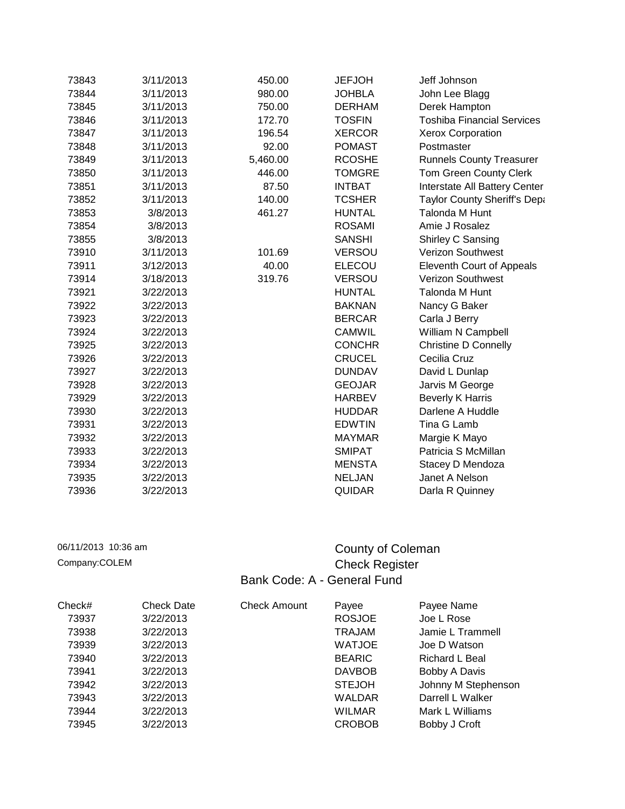| 73843 | 3/11/2013 | 450.00   | <b>JEFJOH</b> | Jeff Johnson                      |
|-------|-----------|----------|---------------|-----------------------------------|
| 73844 | 3/11/2013 | 980.00   | <b>JOHBLA</b> | John Lee Blagg                    |
| 73845 | 3/11/2013 | 750.00   | <b>DERHAM</b> | Derek Hampton                     |
| 73846 | 3/11/2013 | 172.70   | <b>TOSFIN</b> | <b>Toshiba Financial Services</b> |
| 73847 | 3/11/2013 | 196.54   | <b>XERCOR</b> | Xerox Corporation                 |
| 73848 | 3/11/2013 | 92.00    | <b>POMAST</b> | Postmaster                        |
| 73849 | 3/11/2013 | 5,460.00 | <b>RCOSHE</b> | <b>Runnels County Treasurer</b>   |
| 73850 | 3/11/2013 | 446.00   | <b>TOMGRE</b> | Tom Green County Clerk            |
| 73851 | 3/11/2013 | 87.50    | <b>INTBAT</b> | Interstate All Battery Center     |
| 73852 | 3/11/2013 | 140.00   | <b>TCSHER</b> | Taylor County Sheriff's Depa      |
| 73853 | 3/8/2013  | 461.27   | <b>HUNTAL</b> | <b>Talonda M Hunt</b>             |
| 73854 | 3/8/2013  |          | <b>ROSAMI</b> | Amie J Rosalez                    |
| 73855 | 3/8/2013  |          | <b>SANSHI</b> | Shirley C Sansing                 |
| 73910 | 3/11/2013 | 101.69   | <b>VERSOU</b> | <b>Verizon Southwest</b>          |
| 73911 | 3/12/2013 | 40.00    | <b>ELECOU</b> | Eleventh Court of Appeals         |
| 73914 | 3/18/2013 | 319.76   | <b>VERSOU</b> | <b>Verizon Southwest</b>          |
| 73921 | 3/22/2013 |          | <b>HUNTAL</b> | Talonda M Hunt                    |
| 73922 | 3/22/2013 |          | <b>BAKNAN</b> | Nancy G Baker                     |
| 73923 | 3/22/2013 |          | <b>BERCAR</b> | Carla J Berry                     |
| 73924 | 3/22/2013 |          | <b>CAMWIL</b> | William N Campbell                |
| 73925 | 3/22/2013 |          | <b>CONCHR</b> | <b>Christine D Connelly</b>       |
| 73926 | 3/22/2013 |          | <b>CRUCEL</b> | Cecilia Cruz                      |
| 73927 | 3/22/2013 |          | <b>DUNDAV</b> | David L Dunlap                    |
| 73928 | 3/22/2013 |          | <b>GEOJAR</b> | Jarvis M George                   |
| 73929 | 3/22/2013 |          | <b>HARBEV</b> | <b>Beverly K Harris</b>           |
| 73930 | 3/22/2013 |          | <b>HUDDAR</b> | Darlene A Huddle                  |
| 73931 | 3/22/2013 |          | <b>EDWTIN</b> | Tina G Lamb                       |
| 73932 | 3/22/2013 |          | <b>MAYMAR</b> | Margie K Mayo                     |
| 73933 | 3/22/2013 |          | <b>SMIPAT</b> | Patricia S McMillan               |
| 73934 | 3/22/2013 |          | <b>MENSTA</b> | Stacey D Mendoza                  |
| 73935 | 3/22/2013 |          | <b>NELJAN</b> | Janet A Nelson                    |
| 73936 | 3/22/2013 |          | <b>QUIDAR</b> | Darla R Quinney                   |

## 06/11/2013 10:36 am **County of Coleman** Company:COLEM Company:COLEM Bank Code: A - General Fund

| Check# | <b>Check Date</b> | <b>Check Amount</b> | Payee         | Payee Name          |
|--------|-------------------|---------------------|---------------|---------------------|
| 73937  | 3/22/2013         |                     | <b>ROSJOE</b> | Joe L Rose          |
| 73938  | 3/22/2013         |                     | <b>TRAJAM</b> | Jamie L Trammell    |
| 73939  | 3/22/2013         |                     | <b>WATJOE</b> | Joe D Watson        |
| 73940  | 3/22/2013         |                     | <b>BEARIC</b> | Richard L Beal      |
| 73941  | 3/22/2013         |                     | <b>DAVBOB</b> | Bobby A Davis       |
| 73942  | 3/22/2013         |                     | <b>STEJOH</b> | Johnny M Stephenson |
| 73943  | 3/22/2013         |                     | <b>WALDAR</b> | Darrell L Walker    |
| 73944  | 3/22/2013         |                     | <b>WILMAR</b> | Mark L Williams     |
| 73945  | 3/22/2013         |                     | <b>CROBOB</b> | Bobby J Croft       |
|        |                   |                     |               |                     |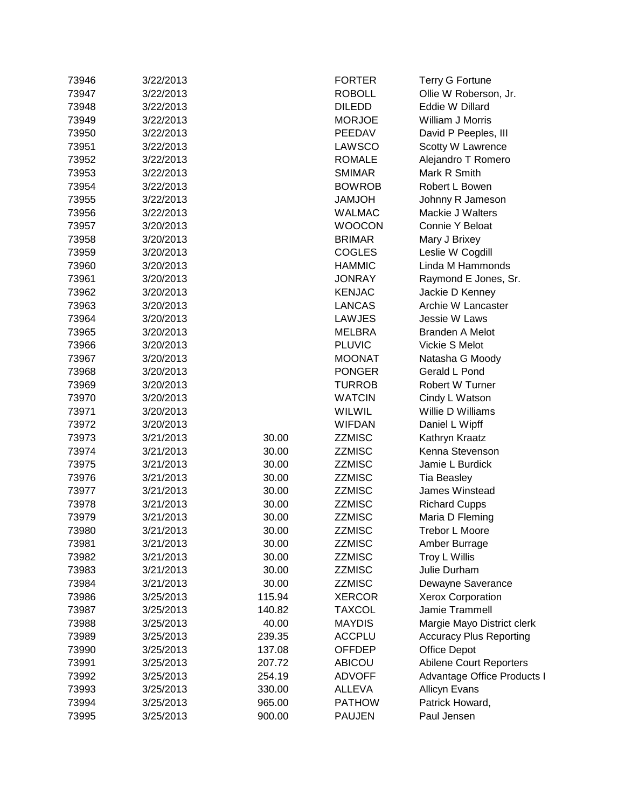| 73946 | 3/22/2013 |        | <b>FORTER</b> | <b>Terry G Fortune</b>         |
|-------|-----------|--------|---------------|--------------------------------|
| 73947 | 3/22/2013 |        | <b>ROBOLL</b> | Ollie W Roberson, Jr.          |
| 73948 | 3/22/2013 |        | <b>DILEDD</b> | Eddie W Dillard                |
| 73949 | 3/22/2013 |        | <b>MORJOE</b> | William J Morris               |
| 73950 | 3/22/2013 |        | PEEDAV        | David P Peeples, III           |
| 73951 | 3/22/2013 |        | LAWSCO        | Scotty W Lawrence              |
| 73952 | 3/22/2013 |        | <b>ROMALE</b> | Alejandro T Romero             |
| 73953 | 3/22/2013 |        | <b>SMIMAR</b> | Mark R Smith                   |
| 73954 | 3/22/2013 |        | <b>BOWROB</b> | Robert L Bowen                 |
| 73955 | 3/22/2013 |        | HOLMAL        | Johnny R Jameson               |
| 73956 | 3/22/2013 |        | <b>WALMAC</b> | Mackie J Walters               |
| 73957 | 3/20/2013 |        | <b>WOOCON</b> | Connie Y Beloat                |
| 73958 | 3/20/2013 |        | <b>BRIMAR</b> | Mary J Brixey                  |
| 73959 | 3/20/2013 |        | <b>COGLES</b> | Leslie W Cogdill               |
| 73960 | 3/20/2013 |        | <b>HAMMIC</b> | Linda M Hammonds               |
| 73961 | 3/20/2013 |        | <b>JONRAY</b> | Raymond E Jones, Sr.           |
| 73962 | 3/20/2013 |        | <b>KENJAC</b> | Jackie D Kenney                |
| 73963 | 3/20/2013 |        | LANCAS        | Archie W Lancaster             |
| 73964 | 3/20/2013 |        | LAWJES        | Jessie W Laws                  |
| 73965 | 3/20/2013 |        | <b>MELBRA</b> | <b>Branden A Melot</b>         |
| 73966 | 3/20/2013 |        | <b>PLUVIC</b> | Vickie S Melot                 |
| 73967 | 3/20/2013 |        | <b>MOONAT</b> | Natasha G Moody                |
| 73968 | 3/20/2013 |        | <b>PONGER</b> | Gerald L Pond                  |
| 73969 | 3/20/2013 |        | <b>TURROB</b> | Robert W Turner                |
| 73970 | 3/20/2013 |        | <b>WATCIN</b> | Cindy L Watson                 |
| 73971 | 3/20/2013 |        | WILWIL        | Willie D Williams              |
| 73972 | 3/20/2013 |        | WIFDAN        | Daniel L Wipff                 |
| 73973 | 3/21/2013 | 30.00  | ZZMISC        | Kathryn Kraatz                 |
| 73974 | 3/21/2013 | 30.00  | ZZMISC        | Kenna Stevenson                |
| 73975 | 3/21/2013 | 30.00  | <b>ZZMISC</b> | Jamie L Burdick                |
| 73976 | 3/21/2013 | 30.00  | ZZMISC        | Tia Beasley                    |
| 73977 | 3/21/2013 | 30.00  | ZZMISC        | James Winstead                 |
| 73978 | 3/21/2013 | 30.00  | ZZMISC        | <b>Richard Cupps</b>           |
| 73979 | 3/21/2013 | 30.00  | <b>ZZMISC</b> | Maria D Fleming                |
| 73980 | 3/21/2013 | 30.00  | ZZMISC        | Trebor L Moore                 |
| 73981 | 3/21/2013 | 30.00  | <b>ZZMISC</b> | Amber Burrage                  |
| 73982 | 3/21/2013 | 30.00  | <b>ZZMISC</b> | Troy L Willis                  |
| 73983 | 3/21/2013 | 30.00  | <b>ZZMISC</b> | Julie Durham                   |
| 73984 | 3/21/2013 | 30.00  | <b>ZZMISC</b> | Dewayne Saverance              |
| 73986 | 3/25/2013 | 115.94 | <b>XERCOR</b> | <b>Xerox Corporation</b>       |
| 73987 | 3/25/2013 | 140.82 | <b>TAXCOL</b> | Jamie Trammell                 |
| 73988 | 3/25/2013 | 40.00  | <b>MAYDIS</b> | Margie Mayo District clerk     |
| 73989 | 3/25/2013 | 239.35 | <b>ACCPLU</b> | <b>Accuracy Plus Reporting</b> |
| 73990 | 3/25/2013 | 137.08 | OFFDEP        | Office Depot                   |
| 73991 | 3/25/2013 | 207.72 | ABICOU        | Abilene Court Reporters        |
| 73992 | 3/25/2013 | 254.19 | <b>ADVOFF</b> | Advantage Office Products I    |
| 73993 | 3/25/2013 | 330.00 | ALLEVA        | <b>Allicyn Evans</b>           |
| 73994 | 3/25/2013 | 965.00 | <b>PATHOW</b> | Patrick Howard,                |
| 73995 | 3/25/2013 | 900.00 | <b>PAUJEN</b> | Paul Jensen                    |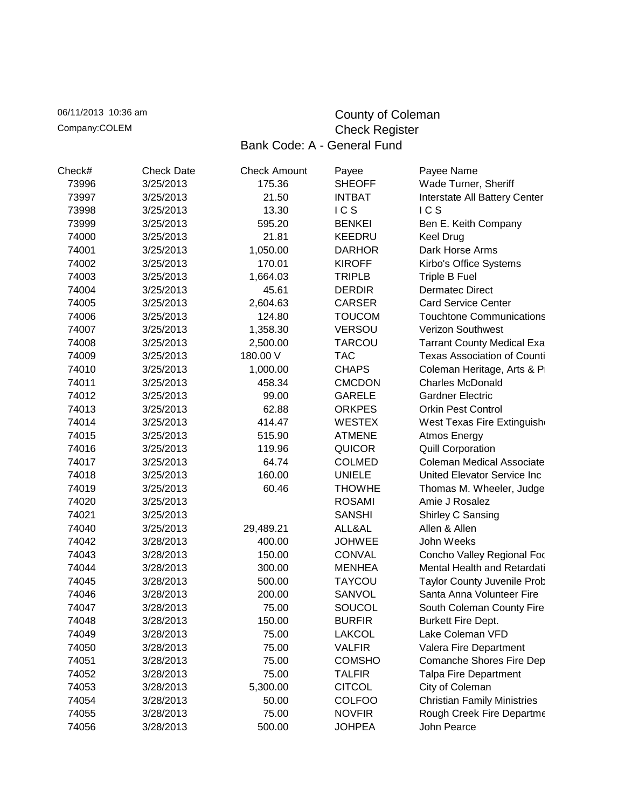06/11/2013 10:36 am County of Coleman Company:COLEM Company:COLEM Check Register Bank Code: A - General Fund

| Check# | <b>Check Date</b> | <b>Check Amount</b> | Payee         | Payee Name                         |
|--------|-------------------|---------------------|---------------|------------------------------------|
| 73996  | 3/25/2013         | 175.36              | <b>SHEOFF</b> | Wade Turner, Sheriff               |
| 73997  | 3/25/2013         | 21.50               | <b>INTBAT</b> | Interstate All Battery Center      |
| 73998  | 3/25/2013         | 13.30               | ICS           | ICS                                |
| 73999  | 3/25/2013         | 595.20              | <b>BENKEI</b> | Ben E. Keith Company               |
| 74000  | 3/25/2013         | 21.81               | <b>KEEDRU</b> | Keel Drug                          |
| 74001  | 3/25/2013         | 1,050.00            | <b>DARHOR</b> | Dark Horse Arms                    |
| 74002  | 3/25/2013         | 170.01              | <b>KIROFF</b> | Kirbo's Office Systems             |
| 74003  | 3/25/2013         | 1,664.03            | <b>TRIPLB</b> | <b>Triple B Fuel</b>               |
| 74004  | 3/25/2013         | 45.61               | <b>DERDIR</b> | <b>Dermatec Direct</b>             |
| 74005  | 3/25/2013         | 2,604.63            | <b>CARSER</b> | <b>Card Service Center</b>         |
| 74006  | 3/25/2013         | 124.80              | <b>TOUCOM</b> | <b>Touchtone Communications</b>    |
| 74007  | 3/25/2013         | 1,358.30            | <b>VERSOU</b> | <b>Verizon Southwest</b>           |
| 74008  | 3/25/2013         | 2,500.00            | <b>TARCOU</b> | <b>Tarrant County Medical Exa</b>  |
| 74009  | 3/25/2013         | 180.00 V            | <b>TAC</b>    | <b>Texas Association of Counti</b> |
| 74010  | 3/25/2013         | 1,000.00            | <b>CHAPS</b>  | Coleman Heritage, Arts & P         |
| 74011  | 3/25/2013         | 458.34              | <b>CMCDON</b> | <b>Charles McDonald</b>            |
| 74012  | 3/25/2013         | 99.00               | <b>GARELE</b> | <b>Gardner Electric</b>            |
| 74013  | 3/25/2013         | 62.88               | <b>ORKPES</b> | <b>Orkin Pest Control</b>          |
| 74014  | 3/25/2013         | 414.47              | <b>WESTEX</b> | West Texas Fire Extinguish         |
| 74015  | 3/25/2013         | 515.90              | <b>ATMENE</b> | Atmos Energy                       |
| 74016  | 3/25/2013         | 119.96              | <b>QUICOR</b> | <b>Quill Corporation</b>           |
| 74017  | 3/25/2013         | 64.74               | <b>COLMED</b> | <b>Coleman Medical Associate</b>   |
| 74018  | 3/25/2013         | 160.00              | <b>UNIELE</b> | United Elevator Service Inc        |
| 74019  | 3/25/2013         | 60.46               | <b>THOWHE</b> | Thomas M. Wheeler, Judge           |
| 74020  | 3/25/2013         |                     | <b>ROSAMI</b> | Amie J Rosalez                     |
| 74021  | 3/25/2013         |                     | <b>SANSHI</b> | Shirley C Sansing                  |
| 74040  | 3/25/2013         | 29,489.21           | ALL&AL        | Allen & Allen                      |
| 74042  | 3/28/2013         | 400.00              | <b>JOHWEE</b> | John Weeks                         |
| 74043  | 3/28/2013         | 150.00              | <b>CONVAL</b> | Concho Valley Regional For         |
| 74044  | 3/28/2013         | 300.00              | <b>MENHEA</b> | Mental Health and Retardati        |
| 74045  | 3/28/2013         | 500.00              | <b>TAYCOU</b> | <b>Taylor County Juvenile Prob</b> |
| 74046  | 3/28/2013         | 200.00              | SANVOL        | Santa Anna Volunteer Fire          |
| 74047  | 3/28/2013         | 75.00               | SOUCOL        | South Coleman County Fire          |
| 74048  | 3/28/2013         | 150.00              | <b>BURFIR</b> | <b>Burkett Fire Dept.</b>          |
| 74049  | 3/28/2013         | 75.00               | <b>LAKCOL</b> | Lake Coleman VFD                   |
| 74050  | 3/28/2013         | 75.00               | <b>VALFIR</b> | Valera Fire Department             |
| 74051  | 3/28/2013         | 75.00               | <b>COMSHO</b> | Comanche Shores Fire Dep           |
| 74052  | 3/28/2013         | 75.00               | <b>TALFIR</b> | <b>Talpa Fire Department</b>       |
| 74053  | 3/28/2013         | 5,300.00            | <b>CITCOL</b> | City of Coleman                    |
| 74054  | 3/28/2013         | 50.00               | <b>COLFOO</b> | <b>Christian Family Ministries</b> |
| 74055  | 3/28/2013         | 75.00               | <b>NOVFIR</b> | Rough Creek Fire Departme          |
| 74056  | 3/28/2013         | 500.00              | <b>JOHPEA</b> | John Pearce                        |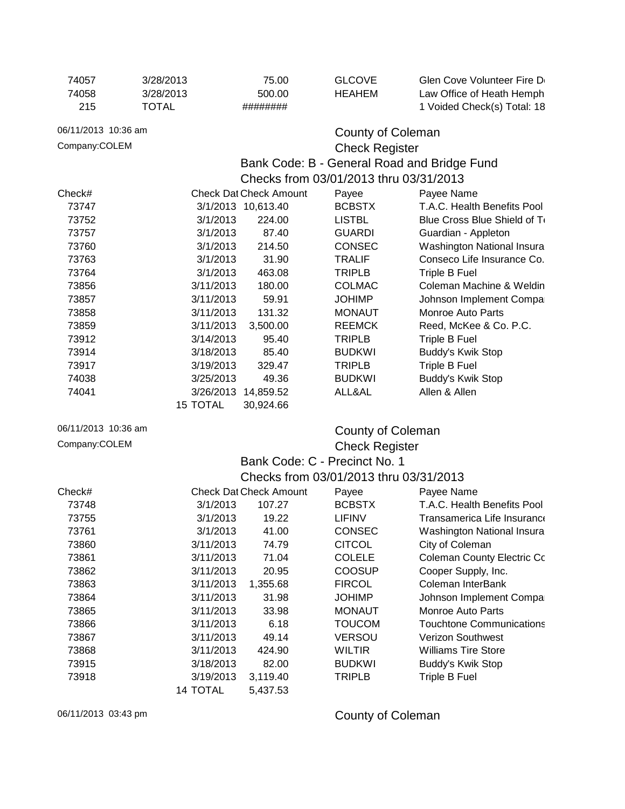| 74057               | 3/28/2013    | 75.00                         | <b>GLCOVE</b>                                                        | Glen Cove Volunteer Fire D        |
|---------------------|--------------|-------------------------------|----------------------------------------------------------------------|-----------------------------------|
| 74058               | 3/28/2013    | 500.00                        | <b>HEAHEM</b>                                                        | Law Office of Heath Hemph         |
| 215                 | <b>TOTAL</b> | ########                      |                                                                      | 1 Voided Check(s) Total: 18       |
| 06/11/2013 10:36 am |              |                               | <b>County of Coleman</b>                                             |                                   |
| Company:COLEM       |              |                               |                                                                      |                                   |
|                     |              |                               | <b>Check Register</b><br>Bank Code: B - General Road and Bridge Fund |                                   |
|                     |              |                               | Checks from 03/01/2013 thru 03/31/2013                               |                                   |
| Check#              |              | <b>Check Dat Check Amount</b> | Payee                                                                | Payee Name                        |
| 73747               |              | 3/1/2013 10,613.40            | <b>BCBSTX</b>                                                        | T.A.C. Health Benefits Pool       |
| 73752               | 3/1/2013     | 224.00                        | <b>LISTBL</b>                                                        | Blue Cross Blue Shield of To      |
| 73757               | 3/1/2013     | 87.40                         | <b>GUARDI</b>                                                        | Guardian - Appleton               |
| 73760               | 3/1/2013     | 214.50                        | <b>CONSEC</b>                                                        | Washington National Insura        |
| 73763               | 3/1/2013     | 31.90                         | <b>TRALIF</b>                                                        | Conseco Life Insurance Co.        |
| 73764               | 3/1/2013     | 463.08                        | <b>TRIPLB</b>                                                        | Triple B Fuel                     |
| 73856               | 3/11/2013    | 180.00                        | <b>COLMAC</b>                                                        | Coleman Machine & Weldin          |
| 73857               | 3/11/2013    | 59.91                         | <b>JOHIMP</b>                                                        | Johnson Implement Compa           |
| 73858               | 3/11/2013    | 131.32                        | <b>MONAUT</b>                                                        | <b>Monroe Auto Parts</b>          |
| 73859               | 3/11/2013    | 3,500.00                      | <b>REEMCK</b>                                                        | Reed, McKee & Co. P.C.            |
| 73912               | 3/14/2013    | 95.40                         | <b>TRIPLB</b>                                                        | Triple B Fuel                     |
| 73914               | 3/18/2013    | 85.40                         | <b>BUDKWI</b>                                                        | Buddy's Kwik Stop                 |
| 73917               | 3/19/2013    | 329.47                        | <b>TRIPLB</b>                                                        | Triple B Fuel                     |
| 74038               | 3/25/2013    | 49.36                         | <b>BUDKWI</b>                                                        | Buddy's Kwik Stop                 |
| 74041               |              | 3/26/2013 14,859.52           | ALL&AL                                                               | Allen & Allen                     |
|                     | 15 TOTAL     | 30,924.66                     |                                                                      |                                   |
| 06/11/2013 10:36 am |              |                               | <b>County of Coleman</b>                                             |                                   |
| Company:COLEM       |              |                               | <b>Check Register</b>                                                |                                   |
|                     |              | Bank Code: C - Precinct No. 1 |                                                                      |                                   |
|                     |              |                               | Checks from 03/01/2013 thru 03/31/2013                               |                                   |
| Check#              |              | <b>Check Dat Check Amount</b> | Payee                                                                | Payee Name                        |
| 73748               | 3/1/2013     | 107.27                        | <b>BCBSTX</b>                                                        | T.A.C. Health Benefits Pool       |
| 73755               | 3/1/2013     | 19.22                         | <b>LIFINV</b>                                                        | Transamerica Life Insurance       |
| 73761               | 3/1/2013     | 41.00                         | <b>CONSEC</b>                                                        | Washington National Insura        |
| 73860               | 3/11/2013    | 74.79                         | <b>CITCOL</b>                                                        | City of Coleman                   |
| 73861               | 3/11/2013    | 71.04                         | <b>COLELE</b>                                                        | <b>Coleman County Electric Co</b> |
| 73862               | 3/11/2013    | 20.95                         | <b>COOSUP</b>                                                        | Cooper Supply, Inc.               |
| 73863               | 3/11/2013    | 1,355.68                      | <b>FIRCOL</b>                                                        | Coleman InterBank                 |
| 73864               | 3/11/2013    | 31.98                         | <b>JOHIMP</b>                                                        | Johnson Implement Compa           |
| 73865               | 3/11/2013    | 33.98                         | <b>MONAUT</b>                                                        | <b>Monroe Auto Parts</b>          |
| 73866               | 3/11/2013    | 6.18                          | <b>TOUCOM</b>                                                        | <b>Touchtone Communications</b>   |
| 73867               | 3/11/2013    | 49.14                         | <b>VERSOU</b>                                                        | Verizon Southwest                 |
| 73868               | 3/11/2013    | 424.90                        | <b>WILTIR</b>                                                        | <b>Williams Tire Store</b>        |
| 73915               | 3/18/2013    | 82.00                         | <b>BUDKWI</b>                                                        | Buddy's Kwik Stop                 |
| 73918               | 3/19/2013    | 3,119.40                      | <b>TRIPLB</b>                                                        | Triple B Fuel                     |
|                     | 14 TOTAL     | 5,437.53                      |                                                                      |                                   |
|                     |              |                               |                                                                      |                                   |

## 06/11/2013 03:43 pm County of Coleman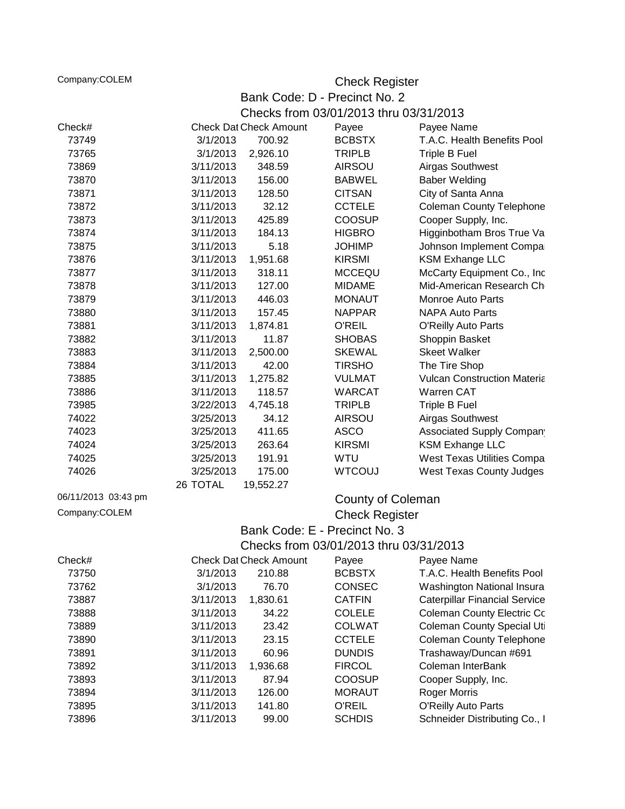Company:COLEM Company:COLEM Check Register

Bank Code: D - Precinct No. 2 Checks from 03/01/2013 thru 03/31/2013

| Check#              |           | <b>Check Dat Check Amount</b> | Payee                                  | Payee Name                           |  |
|---------------------|-----------|-------------------------------|----------------------------------------|--------------------------------------|--|
| 73749               | 3/1/2013  | 700.92                        | <b>BCBSTX</b>                          | T.A.C. Health Benefits Pool          |  |
| 73765               | 3/1/2013  | 2,926.10                      | <b>TRIPLB</b>                          | Triple B Fuel                        |  |
| 73869               | 3/11/2013 | 348.59                        | <b>AIRSOU</b>                          | Airgas Southwest                     |  |
| 73870               | 3/11/2013 | 156.00                        | <b>BABWEL</b>                          | <b>Baber Welding</b>                 |  |
| 73871               | 3/11/2013 | 128.50                        | <b>CITSAN</b>                          | City of Santa Anna                   |  |
| 73872               | 3/11/2013 | 32.12                         | <b>CCTELE</b>                          | <b>Coleman County Telephone</b>      |  |
| 73873               | 3/11/2013 | 425.89                        | <b>COOSUP</b>                          | Cooper Supply, Inc.                  |  |
| 73874               | 3/11/2013 | 184.13                        | <b>HIGBRO</b>                          | Higginbotham Bros True Va            |  |
| 73875               | 3/11/2013 | 5.18                          | <b>JOHIMP</b>                          | Johnson Implement Compa              |  |
| 73876               | 3/11/2013 | 1,951.68                      | <b>KIRSMI</b>                          | <b>KSM Exhange LLC</b>               |  |
| 73877               | 3/11/2013 | 318.11                        | <b>MCCEQU</b>                          | McCarty Equipment Co., Inc           |  |
| 73878               | 3/11/2013 | 127.00                        | <b>MIDAME</b>                          | Mid-American Research Ch             |  |
| 73879               | 3/11/2013 | 446.03                        | <b>MONAUT</b>                          | <b>Monroe Auto Parts</b>             |  |
| 73880               | 3/11/2013 | 157.45                        | <b>NAPPAR</b>                          | <b>NAPA Auto Parts</b>               |  |
| 73881               | 3/11/2013 | 1,874.81                      | <b>O'REIL</b>                          | <b>O'Reilly Auto Parts</b>           |  |
| 73882               | 3/11/2013 | 11.87                         | <b>SHOBAS</b>                          | Shoppin Basket                       |  |
| 73883               | 3/11/2013 | 2,500.00                      | <b>SKEWAL</b>                          | <b>Skeet Walker</b>                  |  |
| 73884               | 3/11/2013 | 42.00                         | <b>TIRSHO</b>                          | The Tire Shop                        |  |
| 73885               | 3/11/2013 | 1,275.82                      | VULMAT                                 | <b>Vulcan Construction Materia</b>   |  |
| 73886               | 3/11/2013 | 118.57                        | <b>WARCAT</b>                          | Warren CAT                           |  |
| 73985               | 3/22/2013 | 4,745.18                      | <b>TRIPLB</b>                          | <b>Triple B Fuel</b>                 |  |
| 74022               | 3/25/2013 | 34.12                         | <b>AIRSOU</b>                          | Airgas Southwest                     |  |
| 74023               | 3/25/2013 | 411.65                        | <b>ASCO</b>                            | Associated Supply Compan             |  |
| 74024               | 3/25/2013 | 263.64                        | <b>KIRSMI</b>                          | <b>KSM Exhange LLC</b>               |  |
| 74025               | 3/25/2013 | 191.91                        | WTU                                    | West Texas Utilities Compa           |  |
| 74026               | 3/25/2013 | 175.00                        | <b>WTCOUJ</b>                          | <b>West Texas County Judges</b>      |  |
|                     | 26 TOTAL  | 19,552.27                     |                                        |                                      |  |
| 06/11/2013 03:43 pm |           |                               | County of Coleman                      |                                      |  |
| Company:COLEM       |           |                               |                                        |                                      |  |
|                     |           |                               | <b>Check Register</b>                  |                                      |  |
|                     |           |                               | Bank Code: E - Precinct No. 3          |                                      |  |
|                     |           |                               | Checks from 03/01/2013 thru 03/31/2013 |                                      |  |
| Check#              |           | <b>Check Dat Check Amount</b> | Payee                                  | Payee Name                           |  |
| 73750               | 3/1/2013  | 210.88                        | <b>BCBSTX</b>                          | T.A.C. Health Benefits Pool          |  |
| 73762               | 3/1/2013  | 76.70                         | <b>CONSEC</b>                          | Washington National Insura           |  |
| 73887               | 3/11/2013 | 1,830.61                      | <b>CATFIN</b>                          | <b>Caterpillar Financial Service</b> |  |
| 73888               | 3/11/2013 | 34.22                         | <b>COLELE</b>                          | <b>Coleman County Electric Co</b>    |  |
| 73889               | 3/11/2013 | 23.42                         | <b>COLWAT</b>                          | <b>Coleman County Special Uti</b>    |  |
| 73890               | 3/11/2013 | 23.15                         | <b>CCTELE</b>                          | <b>Coleman County Telephone</b>      |  |
| 73891               | 3/11/2013 | 60.96                         | <b>DUNDIS</b>                          | Trashaway/Duncan #691                |  |
| 73892               | 3/11/2013 | 1,936.68                      | <b>FIRCOL</b>                          | Coleman InterBank                    |  |
| 73893               | 3/11/2013 | 87.94                         | <b>COOSUP</b>                          | Cooper Supply, Inc.                  |  |
| 73894               | 3/11/2013 | 126.00                        | <b>MORAUT</b>                          | <b>Roger Morris</b>                  |  |
| 73895               | 3/11/2013 | 141.80                        | <b>O'REIL</b>                          | O'Reilly Auto Parts                  |  |
| 73896               | 3/11/2013 | 99.00                         | <b>SCHDIS</b>                          | Schneider Distributing Co., I        |  |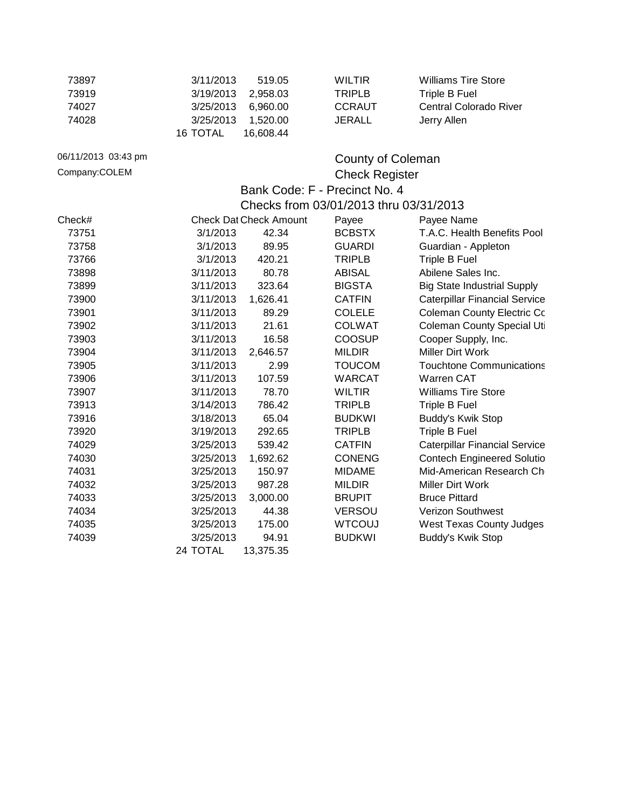| 73897               | 3/11/2013       | 519.05                        | <b>WILTIR</b>                          | <b>Williams Tire Store</b>           |
|---------------------|-----------------|-------------------------------|----------------------------------------|--------------------------------------|
| 73919               | 3/19/2013       | 2,958.03                      | <b>TRIPLB</b>                          | <b>Triple B Fuel</b>                 |
| 74027               | 3/25/2013       | 6,960.00                      | <b>CCRAUT</b>                          | <b>Central Colorado River</b>        |
| 74028               | 3/25/2013       | 1,520.00                      | <b>JERALL</b>                          | Jerry Allen                          |
|                     | <b>16 TOTAL</b> | 16,608.44                     |                                        |                                      |
| 06/11/2013 03:43 pm |                 |                               | <b>County of Coleman</b>               |                                      |
| Company:COLEM       |                 |                               | <b>Check Register</b>                  |                                      |
|                     |                 |                               | Bank Code: F - Precinct No. 4          |                                      |
|                     |                 |                               | Checks from 03/01/2013 thru 03/31/2013 |                                      |
| Check#              |                 | <b>Check Dat Check Amount</b> | Payee                                  | Payee Name                           |
| 73751               | 3/1/2013        | 42.34                         | <b>BCBSTX</b>                          | T.A.C. Health Benefits Pool          |
| 73758               | 3/1/2013        | 89.95                         | <b>GUARDI</b>                          | Guardian - Appleton                  |
| 73766               | 3/1/2013        | 420.21                        | <b>TRIPLB</b>                          | <b>Triple B Fuel</b>                 |
| 73898               | 3/11/2013       | 80.78                         | <b>ABISAL</b>                          | Abilene Sales Inc.                   |
| 73899               | 3/11/2013       | 323.64                        | <b>BIGSTA</b>                          | <b>Big State Industrial Supply</b>   |
| 73900               | 3/11/2013       | 1,626.41                      | <b>CATFIN</b>                          | <b>Caterpillar Financial Service</b> |
| 73901               | 3/11/2013       | 89.29                         | <b>COLELE</b>                          | <b>Coleman County Electric Co</b>    |
| 73902               | 3/11/2013       | 21.61                         | <b>COLWAT</b>                          | <b>Coleman County Special Uti</b>    |
| 73903               | 3/11/2013       | 16.58                         | COOSUP                                 | Cooper Supply, Inc.                  |
| 73904               | 3/11/2013       | 2,646.57                      | <b>MILDIR</b>                          | Miller Dirt Work                     |
| 73905               | 3/11/2013       | 2.99                          | <b>TOUCOM</b>                          | <b>Touchtone Communications</b>      |
| 73906               | 3/11/2013       | 107.59                        | <b>WARCAT</b>                          | Warren CAT                           |
| 73907               | 3/11/2013       | 78.70                         | <b>WILTIR</b>                          | <b>Williams Tire Store</b>           |
| 73913               | 3/14/2013       | 786.42                        | <b>TRIPLB</b>                          | <b>Triple B Fuel</b>                 |
| 73916               | 3/18/2013       | 65.04                         | <b>BUDKWI</b>                          | Buddy's Kwik Stop                    |
| 73920               | 3/19/2013       | 292.65                        | <b>TRIPLB</b>                          | Triple B Fuel                        |
| 74029               | 3/25/2013       | 539.42                        | <b>CATFIN</b>                          | <b>Caterpillar Financial Service</b> |
| 74030               | 3/25/2013       | 1,692.62                      | <b>CONENG</b>                          | <b>Contech Engineered Solutio</b>    |
| 74031               | 3/25/2013       | 150.97                        | <b>MIDAME</b>                          | Mid-American Research Ch             |
| 74032               | 3/25/2013       | 987.28                        | <b>MILDIR</b>                          | Miller Dirt Work                     |
| 74033               | 3/25/2013       | 3,000.00                      | <b>BRUPIT</b>                          | <b>Bruce Pittard</b>                 |
| 74034               | 3/25/2013       | 44.38                         | <b>VERSOU</b>                          | <b>Verizon Southwest</b>             |
| 74035               | 3/25/2013       | 175.00                        | <b>WTCOUJ</b>                          | <b>West Texas County Judges</b>      |
| 74039               | 3/25/2013       | 94.91                         | <b>BUDKWI</b>                          | Buddy's Kwik Stop                    |
|                     | 24 TOTAL        | 13,375.35                     |                                        |                                      |
|                     |                 |                               |                                        |                                      |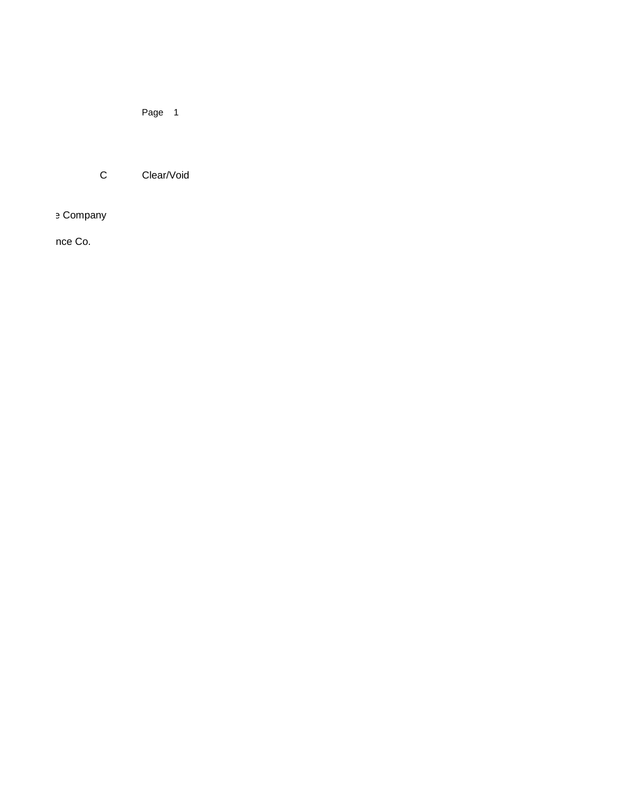Page 1

C Clear/Void

e Company

nce Co.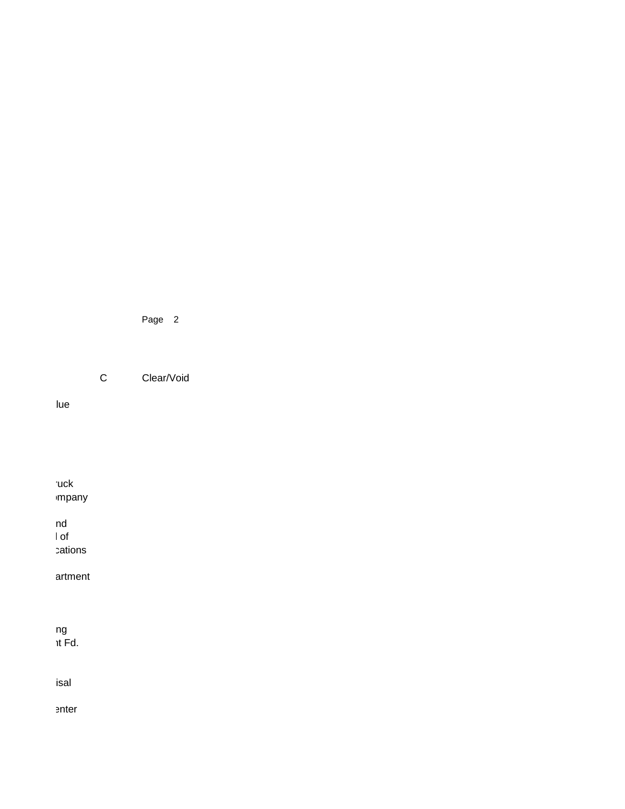Page 2

C Clear/Void

lue

**Tuck**  $m$ pany County Judge Education Fund  $\blacksquare$ cations artment wells Fargo Financial Leasing It Fd. isal enter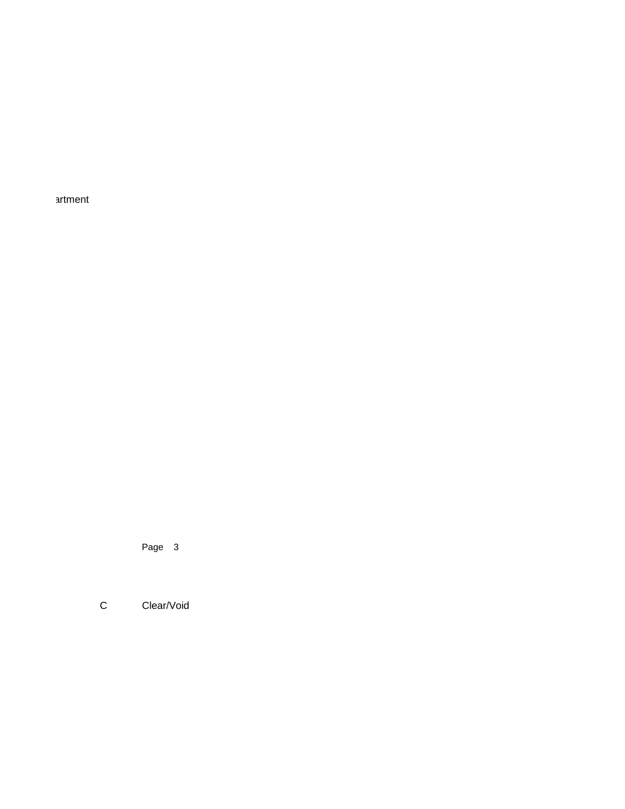artment

Page 3

C Clear/Void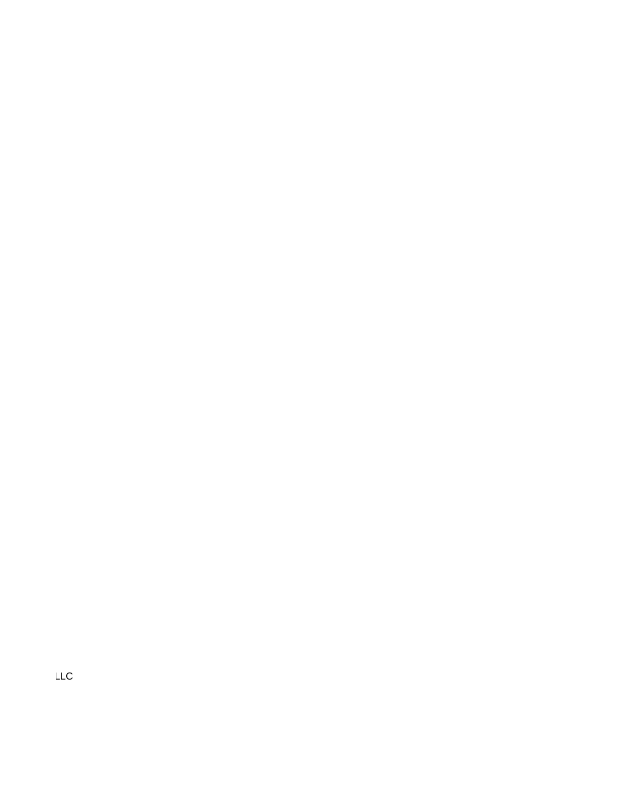$LLC$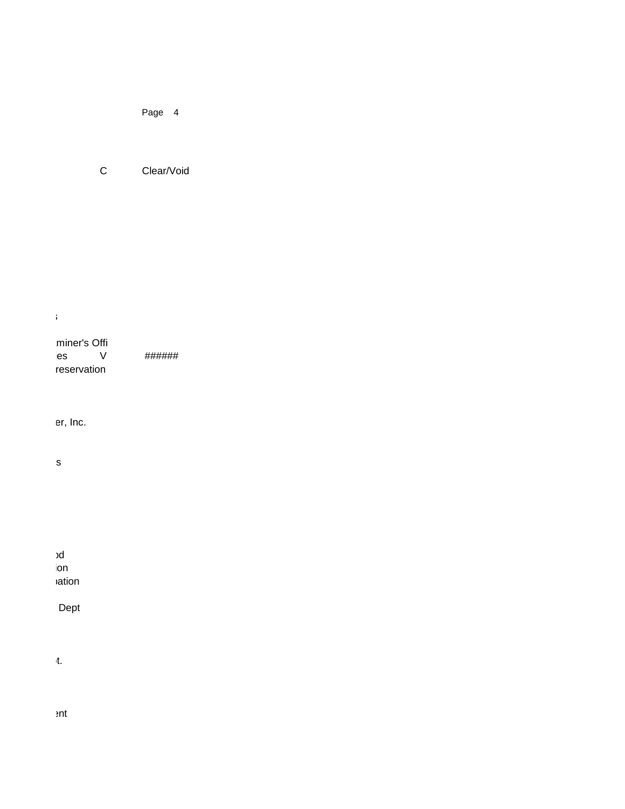Page 4

C Clear/Void

Touchtone Communications

| miner's Offi<br>ies<br>V<br>reservation | ###### |
|-----------------------------------------|--------|
| er, Inc.                                |        |
| S                                       |        |
| Ŷ.                                      |        |
|                                         |        |
| bc<br>ion                               |        |
| ation                                   |        |
| Dept                                    |        |
| it.                                     |        |

 $ent$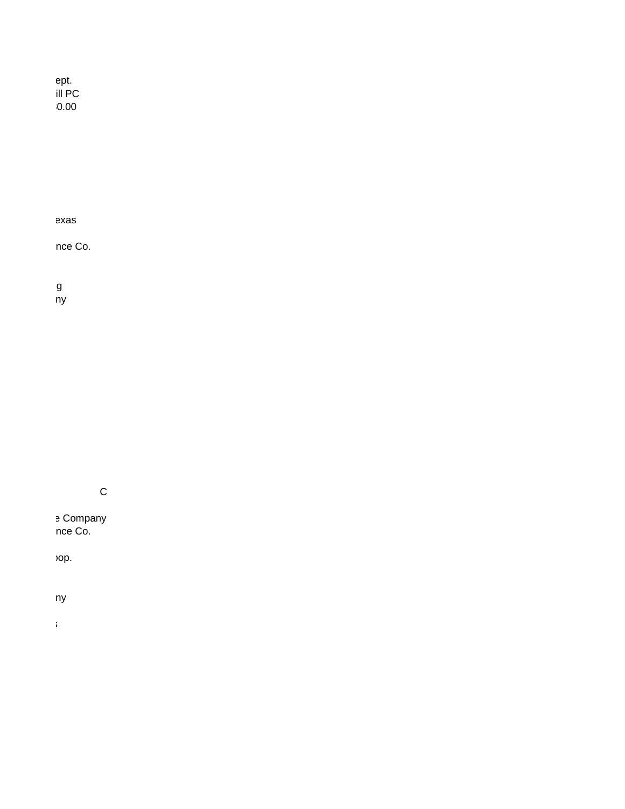Glen Cover Cover Fire Dept. Law Office of Heath Hemphill PC  $10.00$ 

exas

nce Co.

Coleman Machine & Welding g<br>ny

C

External Bloom Company mana Insurance Co.

op.

ny

Touchtone Communications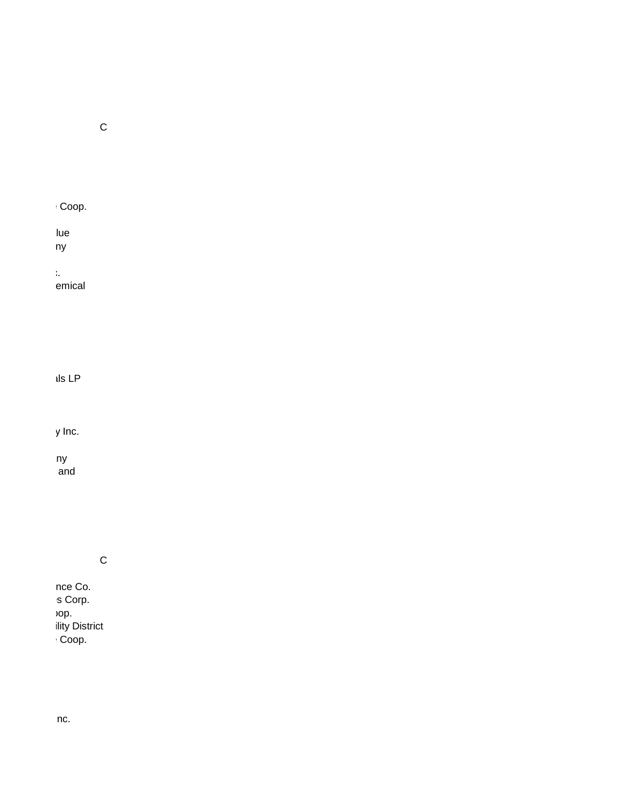C

 $\cdot$  Coop.

lue Johnson Implement Company

McCarty Equipment Co., Inc.

emical

 $\lambda$ ls LP

y Inc.

west Texas Utilities Company and

C

nce Co.  $S$  Corp. op. ility District  $C$ oop.

 $\ln c$ .